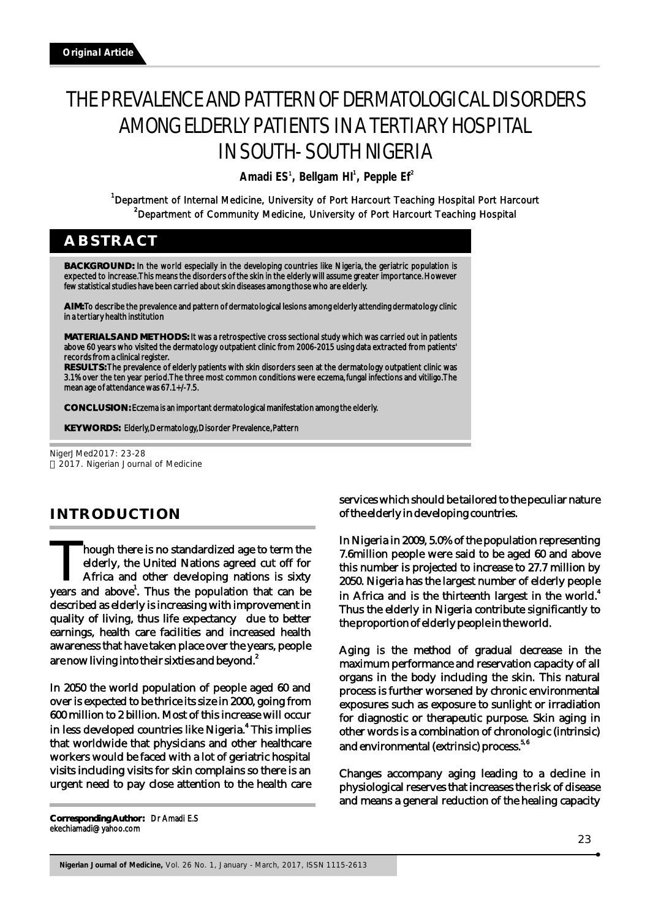# THE PREVALENCE AND PATTERN OF DERMATOLOGICAL DISORDERS AMONG ELDERLY PATIENTS IN A TERTIARY HOSPITAL IN SOUTH- SOUTH NIGERIA

**Amadi ES , Bellgam HI , Pepple Ef** 1 **1 2**

<sup>1</sup>Department of Internal Medicine, University of Port Harcourt Teaching Hospital Port Harcourt <sup>2</sup>Department of Community Medicine, University of Port Harcourt Teaching Hospital

# **ABSTRACT**

**BACKGROUND:** In the world especially in the developing countries like Nigeria, the geriatric population is expected to increase. This means the disorders of the skin in the elderly will assume greater importance. However few statistical studies have been carried about skin diseases among those who are elderly.

**AIM:** To describe the prevalence and pattern of dermatological lesions among elderly attending dermatology clinic in a tertiary health institution

**MATERIALS AND METHODS:** It was a retrospective cross sectional study which was carried out in patients above 60 years who visited the dermatology outpatient clinic from 2006-2015 using data extracted from patients' records from a clinical register.

**RESULTS:** The prevalence of elderly patients with skin disorders seen at the dermatology outpatient clinic was 3.1% over the ten year period. The three most common conditions were eczema, fungal infections and vitiligo. The mean age of attendance was 67.1+/-7.5.

**CONCLUSION:** Eczema is an important dermatological manifestation among the elderly.

**KEY WORDS:** Elderly, Dermatology, Disorder Prevalence, Pattern

NigerJMed2017: 23-28 2017. Nigerian Journal of Medicine

# **INTRODUCTION**

**Though there is no standardized age to term the** Though there is no standardized age to term the elderly, the United Nations agreed cut off for Africa and other developing nations is sixty years and above'. Thus the population that can be described as elderly is increasing with improvement in quality of living, thus life expectancy due to better earnings, health care facilities and increased health awareness that have taken place over the years, people are now living into their sixties and beyond. $^{\text{2}}$ 

In 2050 the world population of people aged 60 and over is expected to be thrice its size in 2000, going from 600 million to 2 billion. Most of this increase will occur in less developed countries like Nigeria.<sup>4</sup> This implies that worldwide that physicians and other healthcare workers would be faced with a lot of geriatric hospital visits including visits for skin complains so there is an urgent need to pay close attention to the health care

**Corresponding Author:** Dr Amadi E.S ekechiamadi@yahoo.com

services which should be tailored to the peculiar nature of the elderly in developing countries.

In Nigeria in 2009, 5.0% of the population representing 7.6million people were said to be aged 60 and above this number is projected to increase to 27.7 million by 2050. Nigeria has the largest number of elderly people in Africa and is the thirteenth largest in the world.<sup>4</sup> Thus the elderly in Nigeria contribute significantly to the proportion of elderly people in the world.

Aging is the method of gradual decrease in the maximum performance and reservation capacity of all organs in the body including the skin. This natural process is further worsened by chronic environmental exposures such as exposure to sunlight or irradiation for diagnostic or therapeutic purpose. Skin aging in other words is a combination of chronologic (intrinsic) and environmental (extrinsic) process.<sup>5,6</sup>

Changes accompany aging leading to a decline in physiological reserves that increases the risk of disease and means a general reduction of the healing capacity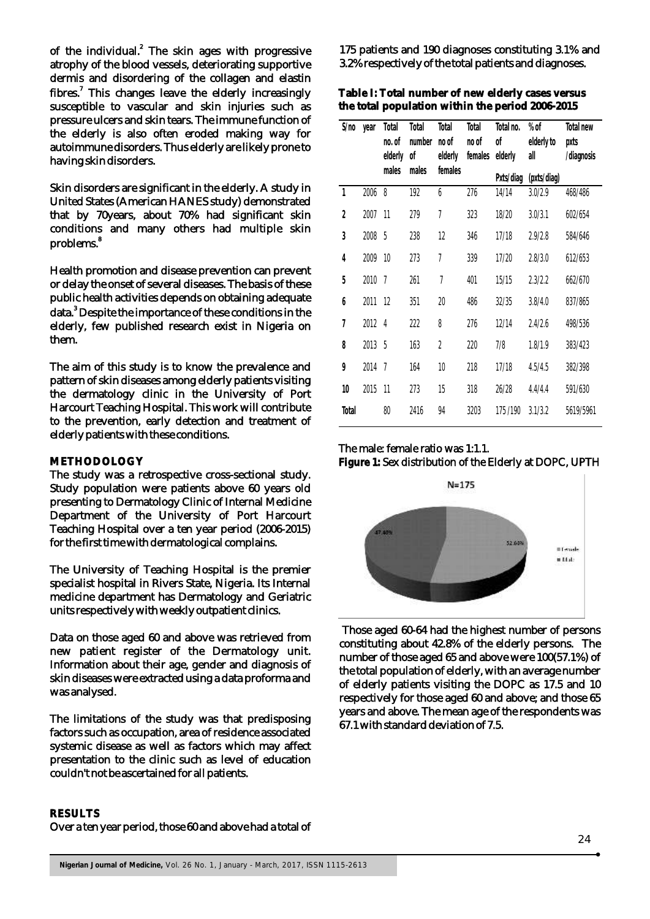of the individual.<sup>2</sup> The skin ages with progressive atrophy of the blood vessels, deteriorating supportive dermis and disordering of the collagen and elastin fibres.<sup>7</sup> This changes leave the elderly increasingly susceptible to vascular and skin injuries such as pressure ulcers and skin tears. The immune function of the elderly is also often eroded making way for autoimmune disorders. Thus elderly are likely prone to having skin disorders.

Skin disorders are significant in the elderly. A study in United States (American HANES study) demonstrated that by 70years, about 70% had significant skin conditions and many others had multiple skin 8 problems.

Health promotion and disease prevention can prevent or delay the onset of several diseases. The basis of these public health activities depends on obtaining adequate data.<sup>3</sup> Despite the importance of these conditions in the elderly, few published research exist in Nigeria on them.

The aim of this study is to know the prevalence and pattern of skin diseases among elderly patients visiting the dermatology clinic in the University of Port Harcourt Teaching Hospital. This work will contribute to the prevention, early detection and treatment of elderly patients with these conditions.

#### **METHODOLOGY**

The study was a retrospective cross-sectional study. Study population were patients above 60 years old presenting to Dermatology Clinic of Internal Medicine Department of the University of Port Harcourt Teaching Hospital over a ten year period (2006-2015) for the first time with dermatological complains.

The University of Teaching Hospital is the premier specialist hospital in Rivers State, Nigeria. Its Internal medicine department has Dermatology and Geriatric units respectively with weekly outpatient clinics.

Data on those aged 60 and above was retrieved from new patient register of the Dermatology unit. Information about their age, gender and diagnosis of skin diseases were extracted using a data proforma and was analysed.

The limitations of the study was that predisposing factors such as occupation, area of residence associated systemic disease as well as factors which may affect presentation to the clinic such as level of education couldn't not be ascertained for all patients.

#### 175 patients and 190 diagnoses constituting 3.1% and 3.2% respectively of the total patients and diagnoses.

**Table I: Total number of new elderly cases versus the total population within the period 2006-2015**

| S/no           | year   | Total<br>no. of<br>elderly | Total<br>number<br>оf | Total<br>no of<br>elderly | Total<br>no of<br>females | Total no.<br>оf<br>elderly | $%$ of<br>elderly to<br>all | Total new<br>pxts<br>/diagnosis |
|----------------|--------|----------------------------|-----------------------|---------------------------|---------------------------|----------------------------|-----------------------------|---------------------------------|
|                |        | males                      | males                 | females                   |                           | Pxts/diag                  | (pxts/diag)                 |                                 |
| 1              | 2006   | 8                          | 192                   | 6                         | 276                       | 14/14                      | 3.0/2.9                     | 468/486                         |
| $\overline{2}$ | 2007   | 11                         | 279                   | 7                         | 323                       | 18/20                      | 3.0/3.1                     | 602/654                         |
| $\mathfrak{Z}$ | 2008   | 5                          | 238                   | 12                        | 346                       | 17/18                      | 2.9/2.8                     | 584/646                         |
| 4              | 2009   | 10                         | 273                   | 7                         | 339                       | 17/20                      | 2.8/3.0                     | 612/653                         |
| 5              | 2010   | $\overline{1}$             | 261                   | 7                         | 401                       | 15/15                      | 2.3/2.2                     | 662/670                         |
| 6              | 2011   | 12                         | 351                   | 20                        | 486                       | 32/35                      | 3.8/4.0                     | 837/865                         |
| 7              | 2012   | 4                          | 222                   | 8                         | 276                       | 12/14                      | 2.4/2.6                     | 498/536                         |
| 8              | 2013 5 |                            | 163                   | $\overline{2}$            | 220                       | 7/8                        | 1.8/1.9                     | 383/423                         |
| 9              | 2014   | $\overline{1}$             | 164                   | 10                        | 218                       | 17/18                      | 4.5/4.5                     | 382/398                         |
| 10             | 2015   | 11                         | 273                   | 15                        | 318                       | 26/28                      | 4.4/4.4                     | 591/630                         |
| Total          |        | 80                         | 2416                  | 94                        | 3203                      | 175/190                    | 3.1/3.2                     | 5619/5961                       |

# The male: female ratio was 1:1.1. **Figure 1:** Sex distribution of the Elderly at DOPC, UPTH



 Those aged 60-64 had the highest number of persons constituting about 42.8% of the elderly persons. The number of those aged 65 and above were 100(57.1%) of the total population of elderly, with an average number of elderly patients visiting the DOPC as 17.5 and 10 respectively for those aged 60 and above; and those 65 years and above. The mean age of the respondents was 67.1 with standard deviation of 7.5.

#### **RESULTS**

Over a ten year period, those 60 and above had a total of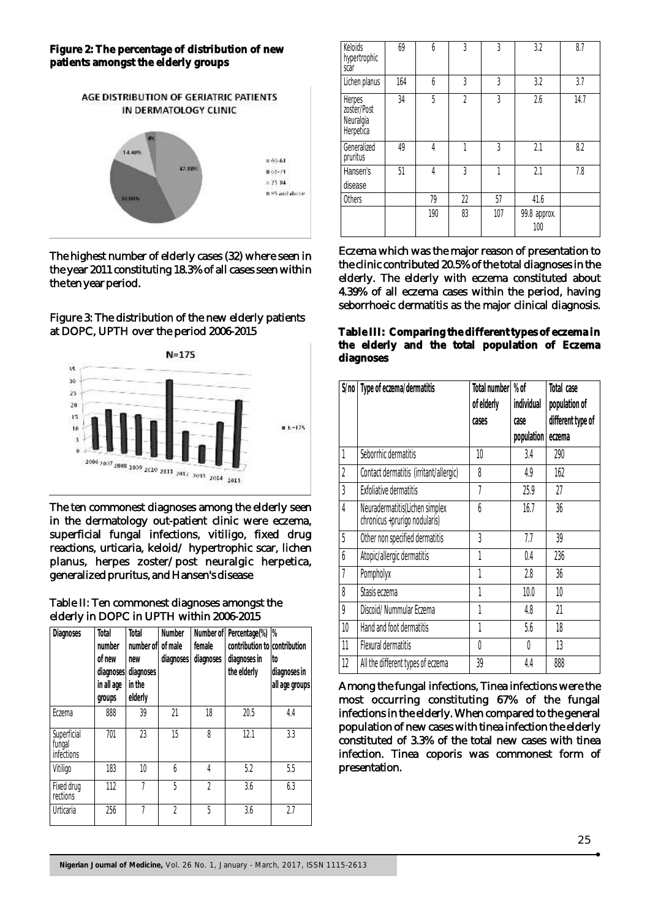## **Figure 2: The percentage of distribution of new patients amongst the elderly groups**



The highest number of elderly cases (32) where seen in the year 2011 constituting 18.3% of all cases seen within the ten year period.

## Figure 3: The distribution of the new elderly patients at DOPC, UPTH over the period 2006-2015



The ten commonest diagnoses among the elderly seen in the dermatology out-patient clinic were eczema, superficial fungal infections, vitiligo, fixed drug reactions, urticaria, keloid/ hypertrophic scar, lichen planus, herpes zoster/post neuralgic herpetica, generalized pruritus, and Hansen's disease

# Table II: Ten commonest diagnoses amongst the elderly in DOPC in UPTH within 2006-2015

|                                     |            |           |           | Number of      | Percentage(%)                | $\frac{9}{6}$  |
|-------------------------------------|------------|-----------|-----------|----------------|------------------------------|----------------|
|                                     | number     | number of | of male   | female         | contribution to contribution |                |
|                                     | of new     | new       | diagnoses | diagnoses      | diagnoses in                 | to             |
|                                     | diagnoses  | diagnoses |           |                | the elderly                  | diagnoses in   |
|                                     | in all age | in the    |           |                |                              | all age groups |
|                                     | groups     | elderly   |           |                |                              |                |
| Eczema                              | 888        | 39        | 21        | 18             | 20.5                         | 4.4            |
| Superficial<br>fungal<br>infections | 701        | 23        | 15        | 8              | 12.1                         | 3.3            |
| Vitiligo                            | 183        | 10        | 6         | 4              | 5.2                          | 5.5            |
| Fixed drug<br>rections              | 112        | 7         | 5         | $\mathfrak{p}$ | 3.6                          | 6.3            |
| Urticaria                           | 256        | 7         | $\gamma$  | 5              | 3.6                          | 2.7            |

| Keloids<br>hypertrophic<br>scar                 | 69  | 6   | 3              | 3              | 3.2                 | 8.7  |
|-------------------------------------------------|-----|-----|----------------|----------------|---------------------|------|
| Lichen planus                                   | 164 | 6   | 3              | 3              | 3.2                 | 3.7  |
| Herpes<br>zoster/Post<br>Neuralgia<br>Herpetica | 34  | 5   | $\overline{2}$ | 3              | 2.6                 | 14.7 |
| Generalized<br>pruritus                         | 49  | 4   | 1              | $\overline{3}$ | 2.1                 | 8.2  |
| Hansen's<br>disease                             | 51  | 4   | 3              | 1              | 2.1                 | 7.8  |
| Others                                          |     | 79  | 22             | 57             | 41.6                |      |
|                                                 |     | 190 | 83             | 107            | 99.8 approx.<br>100 |      |

Eczema which was the major reason of presentation to the clinic contributed 20.5% of the total diagnoses in the elderly. The elderly with eczema constituted about 4.39% of all eczema cases within the period, having seborrhoeic dermatitis as the major clinical diagnosis.

**Table III: Comparing the different types of eczema in the elderly and the total population of Eczema diagnoses** 

| S/no           | Type of eczema/dermatitis                                       | Total number | % of       | Total case        |
|----------------|-----------------------------------------------------------------|--------------|------------|-------------------|
|                |                                                                 | of elderly   | individual | population of     |
|                |                                                                 | cases        | case       | different type of |
|                |                                                                 |              | population | eczema            |
| 1              | Seborrhic dermatitis                                            | 10           | 3.4        | 290               |
| $\overline{2}$ | Contact dermatitis (irritant/allergic)                          | 8            | 4.9        | 162               |
| $\overline{3}$ | <b>Exfoliative dermatitis</b>                                   | 7            | 25.9       | 27                |
| $\overline{4}$ | Neuradermatitis(Lichen simplex<br>chronicus +prurigo nodularis) | 6            | 16.7       | 36                |
| 5              | Other non specified dermatitis                                  | 3            | 7.7        | 39                |
| 6              | Atopic/allergic dermatitis                                      | 1            | 0.4        | 236               |
| 7              | Pompholyx                                                       | 1            | 2.8        | 36                |
| 8              | Stasis eczema                                                   | 1            | 10.0       | 10                |
| 9              | Discoid/Nummular Eczema                                         | 1            | 4.8        | 21                |
| 10             | Hand and foot dermatitis                                        | 1            | 5.6        | 18                |
| 11             | Flexural dermatitis                                             | 0            | 0          | 13                |
| 12             | All the different types of eczema                               | 39           | 4.4        | 888               |

Among the fungal infections, Tinea infections were the most occurring constituting 67% of the fungal infections in the elderly. When compared to the general population of new cases with tinea infection the elderly constituted of 3.3% of the total new cases with tinea infection. Tinea coporis was commonest form of presentation.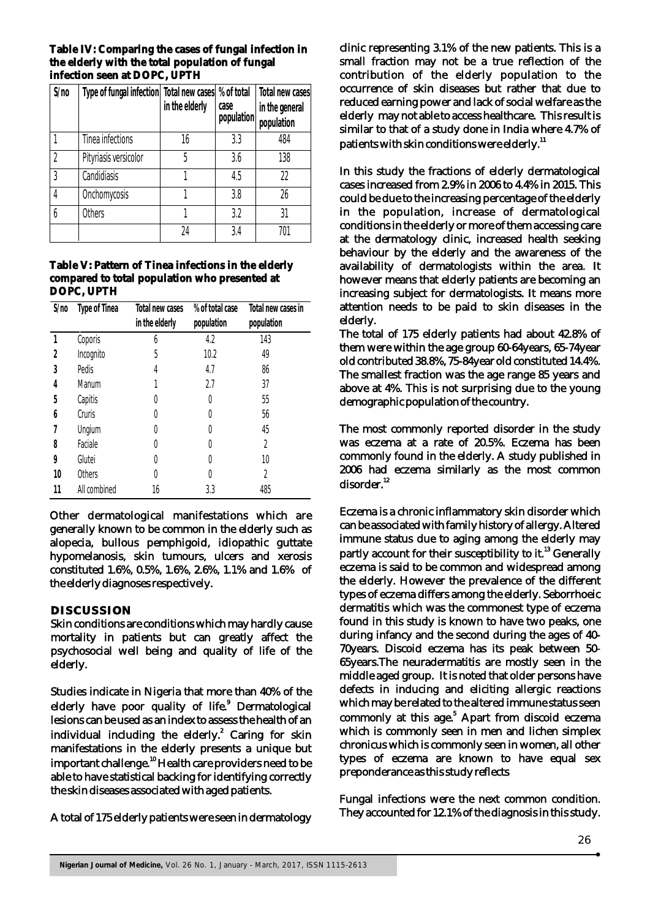#### **Table IV: Comparing the cases of fungal infection in the elderly with the total population of fungal infection seen at DOPC, UPTH**

| S/no           | Type of fungal infection Total new cases |                | % of total | Total new cases |
|----------------|------------------------------------------|----------------|------------|-----------------|
|                |                                          | in the elderly | case       | in the general  |
|                |                                          |                | population | population      |
|                | Tinea infections                         | 16             | 3.3        | 484             |
| $\overline{2}$ | Pityriasis versicolor                    | 5              | 3.6        | 138             |
| $\mathfrak{Z}$ | Candidiasis                              |                | 4.5        | 22              |
| 4              | Onchomycosis                             |                | 3.8        | 26              |
| h              | <b>Others</b>                            |                | 3.2        | 31              |
|                |                                          | 24             | 3.4        | 701             |

## **Table V: Pattern of Tinea infections in the elderly compared to total population who presented at DOPC, UPTH**

| S/no | Type of Tinea | Total new cases | % of total case | Total new cases in |
|------|---------------|-----------------|-----------------|--------------------|
|      |               | in the elderly  | population      | population         |
|      | Coporis       | 6               | 4.2             | 143                |
| 2    | Incognito     | 5               | 10.2            | 49                 |
| 3    | Pedis         | 4               | 4.7             | 86                 |
| 4    | Manum         |                 | 2.7             | 37                 |
| 5    | Capitis       | 0               | 0               | 55                 |
| 6    | Cruris        | 0               | 0               | 56                 |
|      | Ungium        | 0               | 0               | 45                 |
| 8    | Faciale       | 0               | 0               | 2                  |
| 9    | Glutei        | 0               | 0               | 10                 |
| 10   | Others        | 0               | 0               | 2                  |
| 11   | All combined  | 16              | 3.3             | 485                |

Other dermatological manifestations which are generally known to be common in the elderly such as alopecia, bullous pemphigoid, idiopathic guttate hypomelanosis, skin tumours, ulcers and xerosis constituted 1.6%, 0.5%, 1.6%, 2.6%, 1.1% and 1.6% of the elderly diagnoses respectively.

# **DISCUSSION**

Skin conditions are conditions which may hardly cause mortality in patients but can greatly affect the psychosocial well being and quality of life of the elderly.

Studies indicate in Nigeria that more than 40% of the elderly have poor quality of life.<sup>9</sup> Dermatological lesions can be used as an index to assess the health of an individual including the elderly.<sup>2</sup> Caring for skin manifestations in the elderly presents a unique but important challenge.<sup>10</sup> Health care providers need to be able to have statistical backing for identifying correctly the skin diseases associated with aged patients.

A total of 175 elderly patients were seen in dermatology

clinic representing 3.1% of the new patients. This is a small fraction may not be a true reflection of the contribution of the elderly population to the occurrence of skin diseases but rather that due to reduced earning power and lack of social welfare as the elderly may not able to access healthcare. This result is similar to that of a study done in India where 4.7% of patients with skin conditions were elderly.<sup>11</sup>

In this study the fractions of elderly dermatological cases increased from 2.9% in 2006 to 4.4% in 2015. This could be due to the increasing percentage of the elderly in the population, increase of dermatological conditions in the elderly or more of them accessing care at the dermatology clinic, increased health seeking behaviour by the elderly and the awareness of the availability of dermatologists within the area. It however means that elderly patients are becoming an increasing subject for dermatologists. It means more attention needs to be paid to skin diseases in the elderly.

The total of 175 elderly patients had about 42.8% of them were within the age group 60-64years, 65-74year old contributed 38.8%, 75-84year old constituted 14.4%. The smallest fraction was the age range 85 years and above at 4%. This is not surprising due to the young demographic population of the country.

The most commonly reported disorder in the study was eczema at a rate of 20.5%. Eczema has been commonly found in the elderly. A study published in 2006 had eczema similarly as the most common disorder.<sup>12</sup>

Eczema is a chronic inflammatory skin disorder which can be associated with family history of allergy. Altered immune status due to aging among the elderly may partly account for their susceptibility to it.<sup>13</sup> Generally eczema is said to be common and widespread among the elderly. However the prevalence of the different types of eczema differs among the elderly. Seborrhoeic dermatitis which was the commonest type of eczema found in this study is known to have two peaks, one during infancy and the second during the ages of 40- 70years. Discoid eczema has its peak between 50- 65years.The neuradermatitis are mostly seen in the middle aged group. It is noted that older persons have defects in inducing and eliciting allergic reactions which may be related to the altered immune status seen commonly at this age.<sup>5</sup> Apart from discoid eczema which is commonly seen in men and lichen simplex chronicus which is commonly seen in women, all other types of eczema are known to have equal sex preponderance as this study reflects

Fungal infections were the next common condition. They accounted for 12.1% of the diagnosis in this study.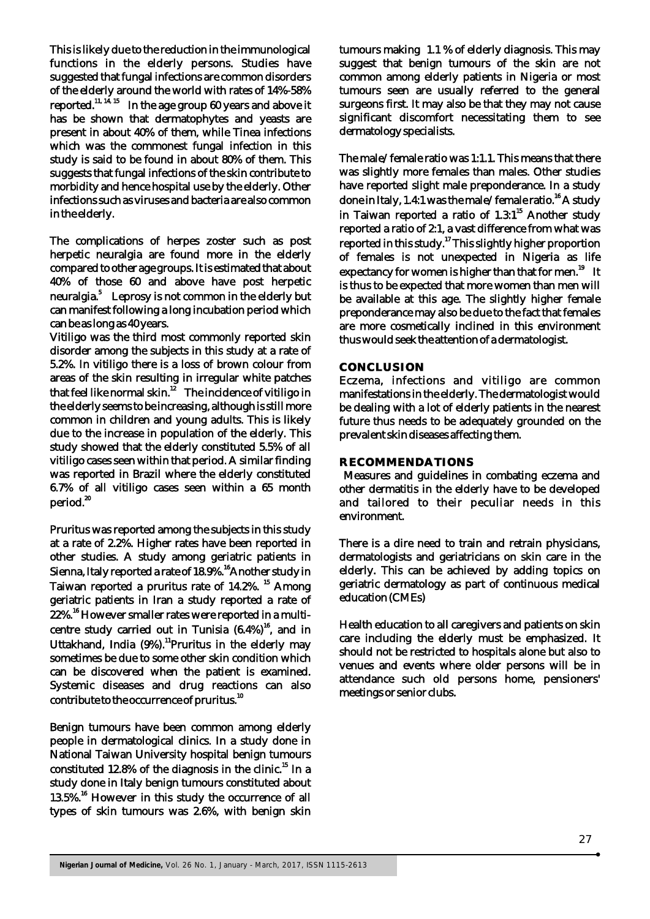This is likely due to the reduction in the immunological functions in the elderly persons. Studies have suggested that fungal infections are common disorders of the elderly around the world with rates of 14%-58% 11,  $14, 15$  reported.<sup>11, 14, 15</sup> In the age group 60 years and above it has be shown that dermatophytes and yeasts are present in about 40% of them, while Tinea infections which was the commonest fungal infection in this study is said to be found in about 80% of them. This suggests that fungal infections of the skin contribute to morbidity and hence hospital use by the elderly. Other infections such as viruses and bacteria are also common in the elderly.

The complications of herpes zoster such as post herpetic neuralgia are found more in the elderly compared to other age groups. It is estimated that about 40% of those 60 and above have post herpetic neuralgia.<sup>5</sup> Leprosy is not common in the elderly but can manifest following a long incubation period which can be as long as 40 years.

Vitiligo was the third most commonly reported skin disorder among the subjects in this study at a rate of 5.2%. In vitiligo there is a loss of brown colour from areas of the skin resulting in irregular white patches that feel like normal skin.<sup>12</sup> The incidence of vitiligo in the elderly seems to be increasing, although is still more common in children and young adults. This is likely due to the increase in population of the elderly. This study showed that the elderly constituted 5.5% of all vitiligo cases seen within that period. A similar finding was reported in Brazil where the elderly constituted 6.7% of all vitiligo cases seen within a 65 month period.<sup>20</sup>

Pruritus was reported among the subjects in this study at a rate of 2.2%. Higher rates have been reported in other studies. A study among geriatric patients in Sienna, Italy reported a rate of 18.9%.<sup>16</sup> Another study in Taiwan reported a pruritus rate of 14.2%.<sup>15</sup> Among geriatric patients in Iran a study reported a rate of 22%.<sup>16</sup> However smaller rates were reported in a multicentre study carried out in Tunisia  $(6.4%)^{16}$ , and in Uttakhand, India (9%).<sup>11</sup> Pruritus in the elderly may sometimes be due to some other skin condition which can be discovered when the patient is examined. Systemic diseases and drug reactions can also contribute to the occurrence of pruritus.<sup>10</sup>

Benign tumours have been common among elderly people in dermatological clinics. In a study done in National Taiwan University hospital benign tumours constituted 12.8% of the diagnosis in the clinic.<sup>15</sup> In a study done in Italy benign tumours constituted about 13.5%.<sup>16</sup> However in this study the occurrence of all types of skin tumours was 2.6%, with benign skin

tumours making 1.1 % of elderly diagnosis. This may suggest that benign tumours of the skin are not common among elderly patients in Nigeria or most tumours seen are usually referred to the general surgeons first. It may also be that they may not cause significant discomfort necessitating them to see dermatology specialists.

The male/female ratio was 1:1.1. This means that there was slightly more females than males. Other studies have reported slight male preponderance. In a study done in Italy, 1.4:1 was the male/female ratio.<sup>16</sup> A study in Taiwan reported a ratio of  $1.3:1^{15}$  Another study reported a ratio of 2:1, a vast difference from what was <sup>17</sup> reported in this study. This slightly higher proportion of females is not unexpected in Nigeria as life expectancy for women is higher than that for men. $^{19}$  It is thus to be expected that more women than men will be available at this age. The slightly higher female preponderance may also be due to the fact that females are more cosmetically inclined in this environment thus would seek the attention of a dermatologist.

#### **CONCLUSION**

Eczema, infections and vitiligo are common manifestations in the elderly. The dermatologist would be dealing with a lot of elderly patients in the nearest future thus needs to be adequately grounded on the prevalent skin diseases affecting them.

#### **RECOMMENDATIONS**

 Measures and guidelines in combating eczema and other dermatitis in the elderly have to be developed and tailored to their peculiar needs in this environment.

There is a dire need to train and retrain physicians, dermatologists and geriatricians on skin care in the elderly. This can be achieved by adding topics on geriatric dermatology as part of continuous medical education (CMEs)

Health education to all caregivers and patients on skin care including the elderly must be emphasized. It should not be restricted to hospitals alone but also to venues and events where older persons will be in attendance such old persons home, pensioners' meetings or senior clubs.